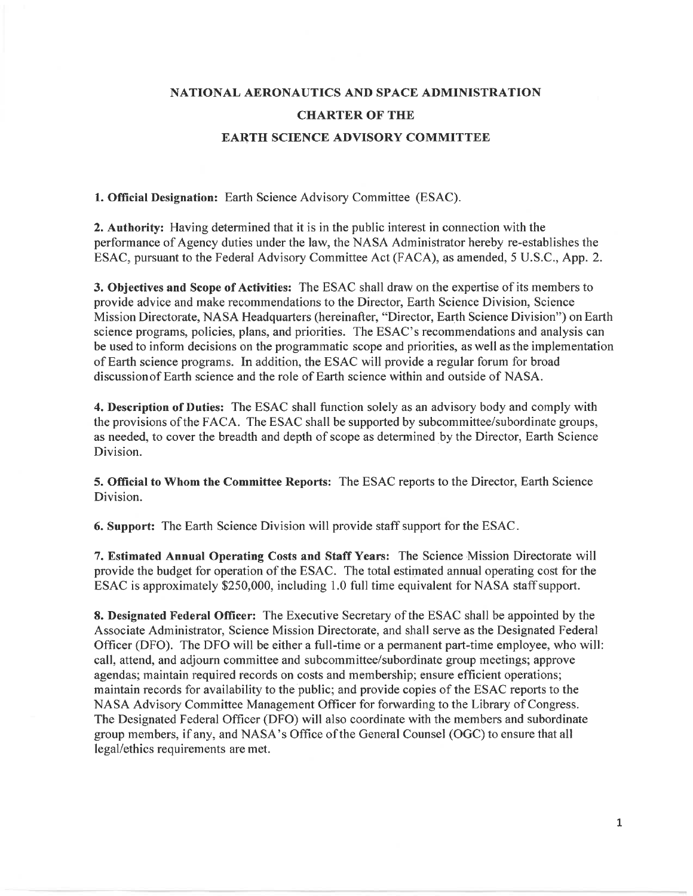## **NATIONAL AERONAUTICS AND SPACE ADMINISTRATION CHARTER OF THE EARTH SCIENCE ADVISORY COMMITTEE**

**1. Official Designation:** Earth Science Advisory Committee (ESAC).

**2. Authority:** Having determined that it is in the public interest in connection with the performance of Agency duties under the law, the NASA Administrator hereby re-establishes the ESAC, pursuant to the Federal Advisory Committee Act (FACA), as amended, 5 U.S.C., App. 2.

**3. Objectives and Scope of Activities:** The ESAC shall draw on the expertise of its members to provide advice and make recommendations to the Director, Earth Science Division, Science Mission Directorate, NASA Headquarters (hereinafter, "Director, Earth Science Division") on Earth science programs, policies, plans, and priorities. The ESAC's recommendations and analysis can be used to inform decisions on the programmatic scope and priorities, as well as the implementation of Earth science programs. In addition, the ESAC will provide a regular forum for broad discussion of Earth science and the role of Earth science within and outside of NASA.

**4. Description of Duties:** The ESAC shall function solely as an advisory body and comply with the provisions of the FACA. The ESAC shall be supported by subcommittee/subordinate groups, as needed, to cover the breadth and depth of scope as determined by the Director, Earth Science Division.

**5. Official to Whom the Committee Reports:** The ESAC reports to the Director, Earth Science Division.

**6. Support:** The Earth Science Division will provide staff support for the ESAC.

7. **Estimated Annual Operating Costs and Staff Years:** The Science Mission Directorate will provide the budget for operation of the ESAC. The total estimated annual operating cost for the ESAC is approximately \$250,000, including 1.0 full time equivalent for NASA staff support.

**8. Designated Federal Officer:** The Executive Secretary of the ESAC shall be appointed by the Associate Administrator, Science Mission Directorate, and shall serve as the Designated Federal Officer (DFO). The DFO will be either a full-time or a permanent part-time employee, who will: call, attend, and adjourn committee and subcommittee/subordinate group meetings; approve agendas; maintain required records on costs and membership; ensure efficient operations; maintain records for availability to the public; and provide copies of the ESAC reports to the NASA Advisory Committee Management Officer for forwarding to the Library of Congress. The Designated Federal Officer (DFO) will also coordinate with the members and subordinate group members, if any, and NASA's Office of the General Counsel (OGC) to ensure that all legal/ethics requirements are met.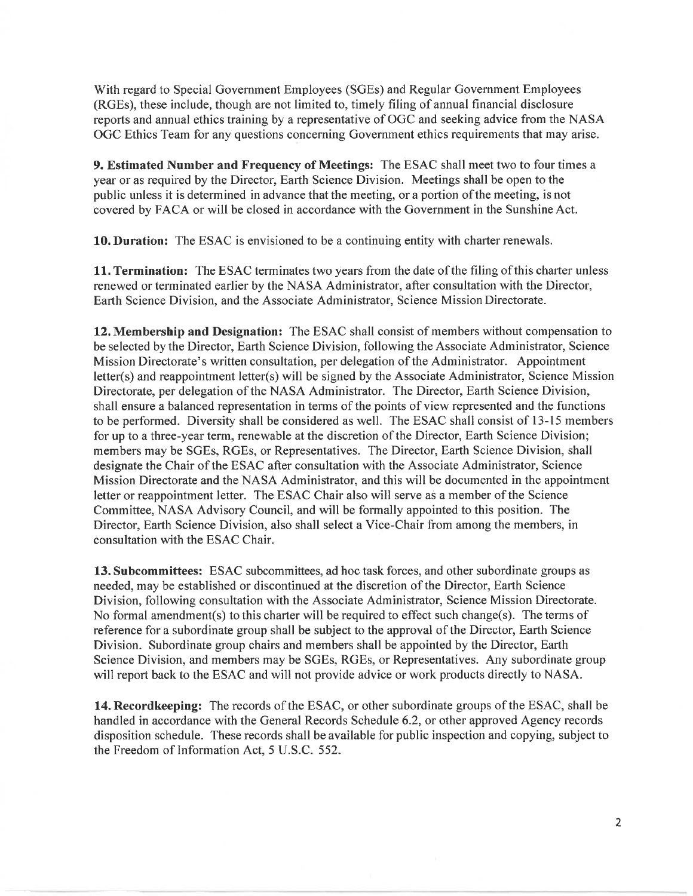With regard to Special Government Employees (SGEs) and Regular Government Employees (RGEs), these include, though are not limited to, timely filing of annual financial disclosure reports and annual ethics training by a representative of OGC and seeking advice from the NASA OGC Ethics Team for any questions concerning Government ethics requirements that may arise.

**9. Estimated Number and Frequency of Meetings:** The ESAC shall meet two to four times a year or as required by the Director, Earth Science Division. Meetings shall be open to the public unless it is determined in advance that the meeting, or a portion of the meeting, is not covered by FACA or will be closed in accordance with the Government in the Sunshine Act.

**10. Duration:** The ESAC is envisioned to be a continuing entity with charter renewals.

**11. Termination:** The ESAC terminates two years from the date of the filing of this charter unless renewed or terminated earlier by the NASA Administrator, after consultation with the Director, Earth Science Division, and the Associate Administrator, Science Mission Directorate.

**12.Membership and Designation:** The ESAC shall consist of members without compensation to be selected by the Director, Earth Science Division, following the Associate Administrator, Science Mission Directorate's written consultation, per delegation of the Administrator. Appointment letter(s) and reappointment Ietter(s) will be signed by the Associate Administrator, Science Mission Directorate, per delegation of the NASA Administrator. The Director, Earth Science Division, shall ensure a balanced representation in terms of the points of view represented and the functions to be performed. Diversity shall be considered as well. The ESAC shall consist of 13-15 members for up to a three-year term, renewable at the discretion of the Director, Earth Science Division; members may be SGEs, RGEs, or Representatives. The Director, Earth Science Division, shall designate the Chair of the ESAC after consultation with the Associate Administrator, Science Mission Directorate and the NASA Administrator, and this will be documented in the appointment letter or reappointment letter. The ESAC Chair also will serve as a member of the Science Committee, NASA Advisory Council, and will be formally appointed to this position. The Director, Earth Science Division, also shall select a Vice-Chair from among the members, in consultation with the ESAC Chair.

**13. Subcommittees:** ESAC subcommittees, ad hoc task forces, and other subordinate groups as needed, may be established or discontinued at the discretion of the Director, Earth Science Division, following consultation with the Associate Administrator, Science Mission Directorate. No formal amendment(s) to this charter will be required to effect such change(s). The terms of reference for a subordinate group shall be subject to the approval of the Director, Earth Science Division. Subordinate group chairs and members shall be appointed by the Director, Earth Science Division, and members may be SGEs, RGEs, or Representatives. Any subordinate group will report back to the ESAC and will not provide advice or work products directly to NASA.

**14. Record keeping:** The records of the ESAC, or other subordinate groups of the ESAC, shall be handled in accordance with the General Records Schedule 6.2, or other approved Agency records disposition schedule. These records shall be available for public inspection and copying, subject to the Freedom of Information Act, 5 U.S.C. 552.